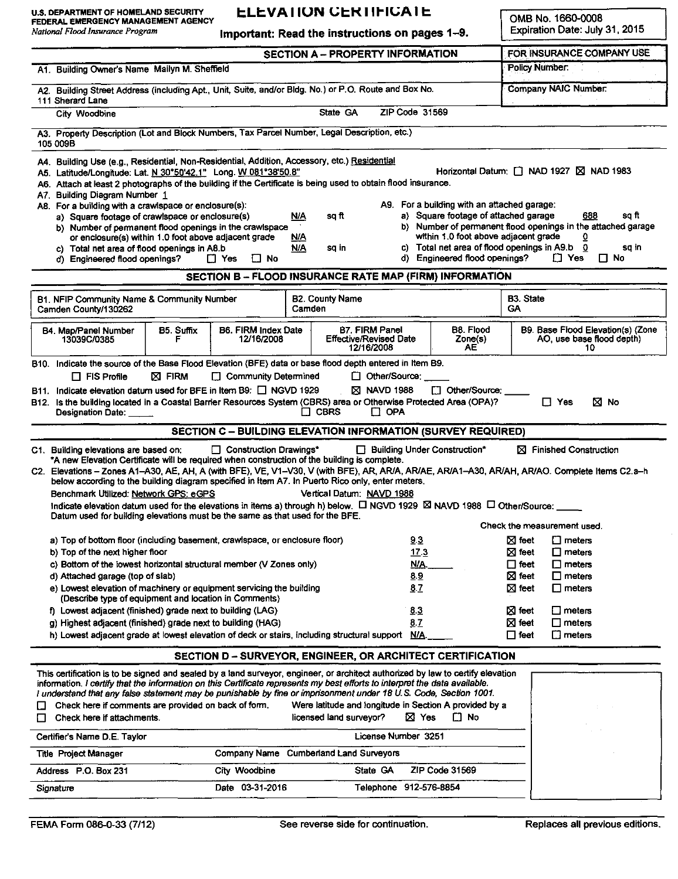FEDERAL EMERGENCY MANAGEMENT AGENCY

## **ELEVATION CERTIFICATE**

**OMB No. 1660-0008** Expiration Date: July 31, 2015

| National Flood Insurance Program                                                                                                                                                                                                                                                                                                                                                                                                                                                                                                                                                                                                    | Important: Read the instructions on pages 1-9.                                                                       |                                                                                                                                                                                                                                                           |                                  |                                                               |                    | Expiration Date: July 31, 2015                                                  |                                      |                                                                                                                                                                                     |
|-------------------------------------------------------------------------------------------------------------------------------------------------------------------------------------------------------------------------------------------------------------------------------------------------------------------------------------------------------------------------------------------------------------------------------------------------------------------------------------------------------------------------------------------------------------------------------------------------------------------------------------|----------------------------------------------------------------------------------------------------------------------|-----------------------------------------------------------------------------------------------------------------------------------------------------------------------------------------------------------------------------------------------------------|----------------------------------|---------------------------------------------------------------|--------------------|---------------------------------------------------------------------------------|--------------------------------------|-------------------------------------------------------------------------------------------------------------------------------------------------------------------------------------|
|                                                                                                                                                                                                                                                                                                                                                                                                                                                                                                                                                                                                                                     |                                                                                                                      |                                                                                                                                                                                                                                                           |                                  | <b>SECTION A - PROPERTY INFORMATION</b>                       |                    |                                                                                 |                                      | FOR INSURANCE COMPANY USE                                                                                                                                                           |
| A1. Building Owner's Name Mailyn M. Sheffield                                                                                                                                                                                                                                                                                                                                                                                                                                                                                                                                                                                       |                                                                                                                      |                                                                                                                                                                                                                                                           |                                  |                                                               |                    |                                                                                 |                                      | <b>Policy Number:</b>                                                                                                                                                               |
| A2. Building Street Address (including Apt., Unit, Suite, and/or Bldg. No.) or P.O. Route and Box No.<br>111 Sherard Lane                                                                                                                                                                                                                                                                                                                                                                                                                                                                                                           |                                                                                                                      |                                                                                                                                                                                                                                                           |                                  |                                                               |                    |                                                                                 |                                      | <b>Company NAIC Number:</b>                                                                                                                                                         |
| City Woodbine                                                                                                                                                                                                                                                                                                                                                                                                                                                                                                                                                                                                                       |                                                                                                                      |                                                                                                                                                                                                                                                           |                                  | State GA                                                      |                    | ZIP Code 31569                                                                  |                                      |                                                                                                                                                                                     |
| A3. Property Description (Lot and Block Numbers, Tax Parcel Number, Legal Description, etc.)<br>105 009B                                                                                                                                                                                                                                                                                                                                                                                                                                                                                                                            |                                                                                                                      |                                                                                                                                                                                                                                                           |                                  |                                                               |                    |                                                                                 |                                      |                                                                                                                                                                                     |
| A4. Building Use (e.g., Residential, Non-Residential, Addition, Accessory, etc.) Residential<br>A5. Latitude/Longitude: Lat. N 30°50'42.1" Long. W 081°38'50.8"<br>A6. Attach at least 2 photographs of the building if the Certificate is being used to obtain flood insurance.<br>Building Diagram Number 1<br>A7.<br>A8. For a building with a crawlspace or enclosure(s):<br>a) Square footage of crawlspace or enclosure(s)<br>b) Number of permanent flood openings in the crawlspace<br>or enclosure(s) within 1.0 foot above adjacent grade<br>c) Total net area of flood openings in A8.b<br>d) Engineered flood openings? | A9. For a building with an attached garage:<br>a) Square footage of attached garage<br>d) Engineered flood openings? | Horizontal Datum: □ NAD 1927 ⊠ NAD 1983<br>sa ft<br>688<br>b) Number of permanent flood openings in the attached garage<br>within 1.0 foot above adjacent grade<br>0<br>c) Total net area of flood openings in A9.b 0<br>sq in<br>$\Box$ Yes<br>$\Box$ No |                                  |                                                               |                    |                                                                                 |                                      |                                                                                                                                                                                     |
| $\Box$ Yes<br>$\Box$ No<br>SECTION B - FLOOD INSURANCE RATE MAP (FIRM) INFORMATION                                                                                                                                                                                                                                                                                                                                                                                                                                                                                                                                                  |                                                                                                                      |                                                                                                                                                                                                                                                           |                                  |                                                               |                    |                                                                                 |                                      |                                                                                                                                                                                     |
|                                                                                                                                                                                                                                                                                                                                                                                                                                                                                                                                                                                                                                     |                                                                                                                      |                                                                                                                                                                                                                                                           |                                  |                                                               |                    |                                                                                 |                                      |                                                                                                                                                                                     |
| B1. NFIP Community Name & Community Number<br>Camden County/130262                                                                                                                                                                                                                                                                                                                                                                                                                                                                                                                                                                  |                                                                                                                      |                                                                                                                                                                                                                                                           | <b>B2. County Name</b><br>Camden |                                                               |                    |                                                                                 | <b>B3. State</b><br><b>GA</b>        |                                                                                                                                                                                     |
| B4. Map/Panel Number<br>13039C/0385                                                                                                                                                                                                                                                                                                                                                                                                                                                                                                                                                                                                 | B5. Suffix<br>F                                                                                                      | <b>B6. FIRM Index Date</b><br>12/16/2008                                                                                                                                                                                                                  |                                  | <b>B7. FIRM Panel</b><br>Effective/Revised Date<br>12/16/2008 |                    | B8. Flood<br>Zone(s)<br>AE                                                      |                                      | B9. Base Flood Elevation(s) (Zone<br>AO, use base flood depth)<br>10                                                                                                                |
| B11. Indicate elevation datum used for BFE in Item B9: $\Box$ NGVD 1929<br>B12. Is the building located in a Coastal Barrier Resources System (CBRS) area or Otherwise Protected Area (OPA)?<br>Designation Date: _____                                                                                                                                                                                                                                                                                                                                                                                                             |                                                                                                                      |                                                                                                                                                                                                                                                           | $\Box$ CBRS                      | $\boxtimes$ NAVD 1988<br>$\Box$ OPA                           |                    | <b>D</b> Other/Source:                                                          |                                      | $\Box$ Yes<br>⊠ No                                                                                                                                                                  |
|                                                                                                                                                                                                                                                                                                                                                                                                                                                                                                                                                                                                                                     |                                                                                                                      |                                                                                                                                                                                                                                                           |                                  |                                                               |                    | SECTION C - BUILDING ELEVATION INFORMATION (SURVEY REQUIRED)                    |                                      |                                                                                                                                                                                     |
| C1. Building elevations are based on:<br>*A new Elevation Certificate will be required when construction of the building is complete.<br>below according to the building diagram specified in Item A7. In Puerto Rico only, enter meters,<br>Benchmark Utilized: Network GPS: eGPS<br>Indicate elevation datum used for the elevations in items a) through h) below. $\Box$ NGVD 1929 $\boxtimes$ NAVD 1988 $\Box$ Other/Source:<br>Datum used for building elevations must be the same as that used for the BFE.                                                                                                                   |                                                                                                                      | $\Box$ Construction Drawings*                                                                                                                                                                                                                             |                                  | Vertical Datum: NAVD 1988                                     |                    | $\Box$ Building Under Construction*                                             |                                      | $\boxtimes$ Finished Construction<br>C2. Elevations – Zones A1–A30, AE, AH, A (with BFE), VE, V1–V30, V (with BFE), AR, AR/A, AR/AE, AR/A1–A30, AR/AH, AR/AO. Complete Items C2.a–h |
|                                                                                                                                                                                                                                                                                                                                                                                                                                                                                                                                                                                                                                     |                                                                                                                      |                                                                                                                                                                                                                                                           |                                  |                                                               |                    |                                                                                 |                                      | Check the measurement used                                                                                                                                                          |
| a) Top of bottom floor (including basement, crawlspace, or enclosure floor)<br>b) Top of the next higher floor                                                                                                                                                                                                                                                                                                                                                                                                                                                                                                                      |                                                                                                                      |                                                                                                                                                                                                                                                           |                                  |                                                               | 9.3<br><u>17.3</u> |                                                                                 | $\boxtimes$ feet<br>$\boxtimes$ feet | $\square$ meters<br>$\square$ meters                                                                                                                                                |
| c) Bottom of the lowest horizontal structural member (V Zones only)                                                                                                                                                                                                                                                                                                                                                                                                                                                                                                                                                                 |                                                                                                                      |                                                                                                                                                                                                                                                           |                                  |                                                               | <u>N/A</u>         |                                                                                 | $\Box$ feet                          | $\square$ meters                                                                                                                                                                    |
| d) Attached garage (top of slab)<br>e) Lowest elevation of machinery or equipment servicing the building                                                                                                                                                                                                                                                                                                                                                                                                                                                                                                                            |                                                                                                                      |                                                                                                                                                                                                                                                           |                                  |                                                               | 8.9<br>8.7         |                                                                                 | $\boxtimes$ feet<br>$\boxtimes$ feet | $\Box$ meters<br>$\square$ meters                                                                                                                                                   |
| (Describe type of equipment and location in Comments)<br>f) Lowest adjacent (finished) grade next to building (LAG)                                                                                                                                                                                                                                                                                                                                                                                                                                                                                                                 |                                                                                                                      |                                                                                                                                                                                                                                                           |                                  |                                                               | 8.3                |                                                                                 | $\boxtimes$ feet                     | $\square$ meters                                                                                                                                                                    |
| g) Highest adjacent (finished) grade next to building (HAG)                                                                                                                                                                                                                                                                                                                                                                                                                                                                                                                                                                         |                                                                                                                      |                                                                                                                                                                                                                                                           |                                  |                                                               | 8.7                |                                                                                 | ⊠ feet                               | $\square$ meters                                                                                                                                                                    |
| h) Lowest adjacent grade at lowest elevation of deck or stairs, including structural support N/A.                                                                                                                                                                                                                                                                                                                                                                                                                                                                                                                                   |                                                                                                                      |                                                                                                                                                                                                                                                           |                                  |                                                               |                    |                                                                                 | $\Box$ feet                          | $\square$ meters                                                                                                                                                                    |
|                                                                                                                                                                                                                                                                                                                                                                                                                                                                                                                                                                                                                                     |                                                                                                                      |                                                                                                                                                                                                                                                           |                                  |                                                               |                    | SECTION D-SURVEYOR, ENGINEER, OR ARCHITECT CERTIFICATION                        |                                      |                                                                                                                                                                                     |
| This certification is to be signed and sealed by a land surveyor, engineer, or architect authorized by law to certify elevation<br>information. I certify that the information on this Certificate represents my best efforts to interpret the data available.<br>I understand that any false statement may be punishable by fine or imprisonment under 18 U.S. Code, Section 1001.<br>Check here if comments are provided on back of form.<br>IJ<br>Check here if attachments.<br>П                                                                                                                                                |                                                                                                                      |                                                                                                                                                                                                                                                           |                                  | licensed land surveyor?                                       |                    | Were latitude and longitude in Section A provided by a<br>⊠ Yes<br>$\square$ No |                                      |                                                                                                                                                                                     |
| Certifier's Name D.E. Taylor                                                                                                                                                                                                                                                                                                                                                                                                                                                                                                                                                                                                        |                                                                                                                      |                                                                                                                                                                                                                                                           |                                  | License Number 3251                                           |                    |                                                                                 |                                      |                                                                                                                                                                                     |
| <b>Title Project Manager</b>                                                                                                                                                                                                                                                                                                                                                                                                                                                                                                                                                                                                        |                                                                                                                      | Company Name Cumberland Land Surveyors                                                                                                                                                                                                                    |                                  |                                                               |                    |                                                                                 |                                      |                                                                                                                                                                                     |
| Address P.O. Box 231                                                                                                                                                                                                                                                                                                                                                                                                                                                                                                                                                                                                                |                                                                                                                      | City Woodbine                                                                                                                                                                                                                                             |                                  | State GA                                                      |                    | ZIP Code 31569                                                                  |                                      |                                                                                                                                                                                     |
| Signature                                                                                                                                                                                                                                                                                                                                                                                                                                                                                                                                                                                                                           |                                                                                                                      | Date 03-31-2016                                                                                                                                                                                                                                           |                                  | Telephone 912-576-8854                                        |                    |                                                                                 |                                      |                                                                                                                                                                                     |
|                                                                                                                                                                                                                                                                                                                                                                                                                                                                                                                                                                                                                                     |                                                                                                                      |                                                                                                                                                                                                                                                           |                                  |                                                               |                    |                                                                                 |                                      |                                                                                                                                                                                     |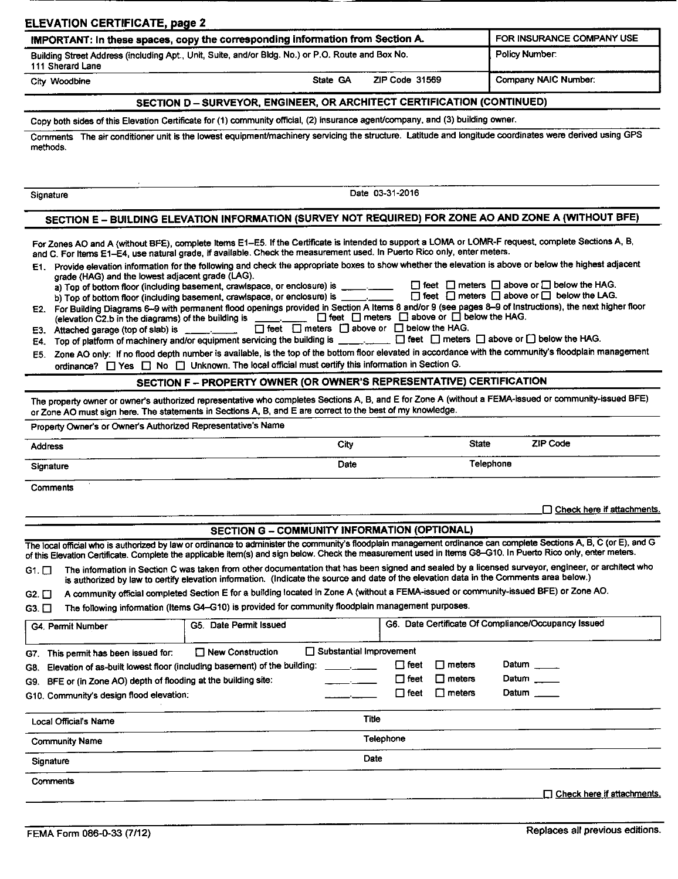| <b>ELEVATION CERTIFICATE, page 2</b>                                                                                                                                                                                     |                                                                                                                                                                                                                                                                                                                                                                                                                                                                                                                                                                                                                                      |                                                                 |                                                                                                             |                                                                                                                                                           |
|--------------------------------------------------------------------------------------------------------------------------------------------------------------------------------------------------------------------------|--------------------------------------------------------------------------------------------------------------------------------------------------------------------------------------------------------------------------------------------------------------------------------------------------------------------------------------------------------------------------------------------------------------------------------------------------------------------------------------------------------------------------------------------------------------------------------------------------------------------------------------|-----------------------------------------------------------------|-------------------------------------------------------------------------------------------------------------|-----------------------------------------------------------------------------------------------------------------------------------------------------------|
|                                                                                                                                                                                                                          | IMPORTANT: In these spaces, copy the corresponding information from Section A.<br>Building Street Address (including Apt., Unit, Suite, and/or Bldg. No.) or P.O. Route and Box No.                                                                                                                                                                                                                                                                                                                                                                                                                                                  |                                                                 |                                                                                                             | FOR INSURANCE COMPANY USE<br>Policy Number:                                                                                                               |
| 111 Sherard Lane                                                                                                                                                                                                         |                                                                                                                                                                                                                                                                                                                                                                                                                                                                                                                                                                                                                                      |                                                                 |                                                                                                             |                                                                                                                                                           |
| City Woodbine                                                                                                                                                                                                            | State GA                                                                                                                                                                                                                                                                                                                                                                                                                                                                                                                                                                                                                             |                                                                 | ZIP Code 31569                                                                                              | Company NAIC Number:                                                                                                                                      |
|                                                                                                                                                                                                                          | SECTION D - SURVEYOR, ENGINEER, OR ARCHITECT CERTIFICATION (CONTINUED)                                                                                                                                                                                                                                                                                                                                                                                                                                                                                                                                                               |                                                                 |                                                                                                             |                                                                                                                                                           |
|                                                                                                                                                                                                                          | Copy both sides of this Elevation Certificate for (1) community official, (2) insurance agent/company, and (3) building owner.<br>Comments The air conditioner unit is the lowest equipment/machinery servicing the structure. Latitude and longitude coordinates were derived using GPS                                                                                                                                                                                                                                                                                                                                             |                                                                 |                                                                                                             |                                                                                                                                                           |
| methods.                                                                                                                                                                                                                 |                                                                                                                                                                                                                                                                                                                                                                                                                                                                                                                                                                                                                                      |                                                                 |                                                                                                             |                                                                                                                                                           |
| Signature                                                                                                                                                                                                                |                                                                                                                                                                                                                                                                                                                                                                                                                                                                                                                                                                                                                                      | Date 03-31-2016                                                 |                                                                                                             |                                                                                                                                                           |
|                                                                                                                                                                                                                          | SECTION E - BUILDING ELEVATION INFORMATION (SURVEY NOT REQUIRED) FOR ZONE AO AND ZONE A (WITHOUT BFE)                                                                                                                                                                                                                                                                                                                                                                                                                                                                                                                                |                                                                 |                                                                                                             |                                                                                                                                                           |
|                                                                                                                                                                                                                          | E3. Attached garage (top of slab) is ________                                                                                                                                                                                                                                                                                                                                                                                                                                                                                                                                                                                        | $\Box$ feet $\Box$ meters $\Box$ above or $\Box$ below the HAG. | (elevation C2.b in the diagrams) of the building is ___________ □ feet □ meters □ above or □ below the HAG. | E2. For Building Diagrams 6-9 with permanent flood openings provided in Section A Items 8 and/or 9 (see pages 8-9 of Instructions), the next higher floor |
| E5.                                                                                                                                                                                                                      | E4. Top of platform of machinery and/or equipment servicing the building is ___________ [ ] feet [ ] meters [ ] above or [ ] below the HAG.<br>Zone AO only: If no flood depth number is available, is the top of the bottom floor elevated in accordance with the community's floodplain management<br>ordinance? $\Box$ Yes $\Box$ No $\Box$ Unknown. The local official must certify this information in Section G.<br>SECTION F - PROPERTY OWNER (OR OWNER'S REPRESENTATIVE) CERTIFICATION                                                                                                                                       |                                                                 |                                                                                                             |                                                                                                                                                           |
|                                                                                                                                                                                                                          | The property owner or owner's authorized representative who completes Sections A, B, and E for Zone A (without a FEMA-issued or community-issued BFE)<br>or Zone AO must sign here. The statements in Sections A, B, and E are correct to the best of my knowledge.                                                                                                                                                                                                                                                                                                                                                                  |                                                                 |                                                                                                             |                                                                                                                                                           |
|                                                                                                                                                                                                                          |                                                                                                                                                                                                                                                                                                                                                                                                                                                                                                                                                                                                                                      |                                                                 |                                                                                                             |                                                                                                                                                           |
|                                                                                                                                                                                                                          |                                                                                                                                                                                                                                                                                                                                                                                                                                                                                                                                                                                                                                      | City                                                            | <b>State</b>                                                                                                | <b>ZIP Code</b>                                                                                                                                           |
|                                                                                                                                                                                                                          |                                                                                                                                                                                                                                                                                                                                                                                                                                                                                                                                                                                                                                      | Date                                                            |                                                                                                             | Telephone                                                                                                                                                 |
| Address<br>Signature<br>Comments                                                                                                                                                                                         |                                                                                                                                                                                                                                                                                                                                                                                                                                                                                                                                                                                                                                      |                                                                 |                                                                                                             | $\Box$ Check here if attachments.                                                                                                                         |
|                                                                                                                                                                                                                          | SECTION G - COMMUNITY INFORMATION (OPTIONAL)                                                                                                                                                                                                                                                                                                                                                                                                                                                                                                                                                                                         |                                                                 |                                                                                                             |                                                                                                                                                           |
|                                                                                                                                                                                                                          | The local official who is authorized by law or ordinance to administer the community's floodplain management ordinance can complete Sections A, B, C (or E), and G<br>of this Elevation Certificate. Complete the applicable item(s) and sign below. Check the measurement used in Items G8-G10. In Puerto Rico only, enter meters.<br>The information in Section C was taken from other documentation that has been signed and sealed by a licensed surveyor, engineer, or architect who<br>is authorized by law to certify elevation information. (Indicate the source and date of the elevation data in the Comments area below.) |                                                                 |                                                                                                             |                                                                                                                                                           |
|                                                                                                                                                                                                                          | A community official completed Section E for a building located in Zone A (without a FEMA-issued or community-issued BFE) or Zone AO.<br>The following information (Items G4-G10) is provided for community floodplain management purposes.                                                                                                                                                                                                                                                                                                                                                                                          |                                                                 |                                                                                                             |                                                                                                                                                           |
|                                                                                                                                                                                                                          | G5. Date Permit Issued                                                                                                                                                                                                                                                                                                                                                                                                                                                                                                                                                                                                               |                                                                 |                                                                                                             | G6. Date Certificate Of Compliance/Occupancy Issued                                                                                                       |
|                                                                                                                                                                                                                          | $\Box$ New Construction<br>Elevation of as-built lowest floor (including basement) of the building:                                                                                                                                                                                                                                                                                                                                                                                                                                                                                                                                  | Substantial Improvement<br>المستعمل والمستنق                    | $\square$ meters<br>$\Box$ feet                                                                             | Datum _____                                                                                                                                               |
| BFE or (in Zone AO) depth of flooding at the building site:                                                                                                                                                              |                                                                                                                                                                                                                                                                                                                                                                                                                                                                                                                                                                                                                                      |                                                                 | $\Box$ meters<br>$\Box$ feet<br>$\Box$ feet<br>$\Box$ meters                                                | Datum _____<br>Datum _____                                                                                                                                |
| G4. Permit Number<br>Local Official's Name                                                                                                                                                                               |                                                                                                                                                                                                                                                                                                                                                                                                                                                                                                                                                                                                                                      | Title                                                           |                                                                                                             |                                                                                                                                                           |
| Property Owner's or Owner's Authorized Representative's Name<br>G1. □<br>G2. □<br>$G3$ $\Box$<br>G7. This permit has been issued for:<br>G8.<br>G9.<br>G10. Community's design flood elevation:<br><b>Community Name</b> |                                                                                                                                                                                                                                                                                                                                                                                                                                                                                                                                                                                                                                      | Telephone                                                       |                                                                                                             |                                                                                                                                                           |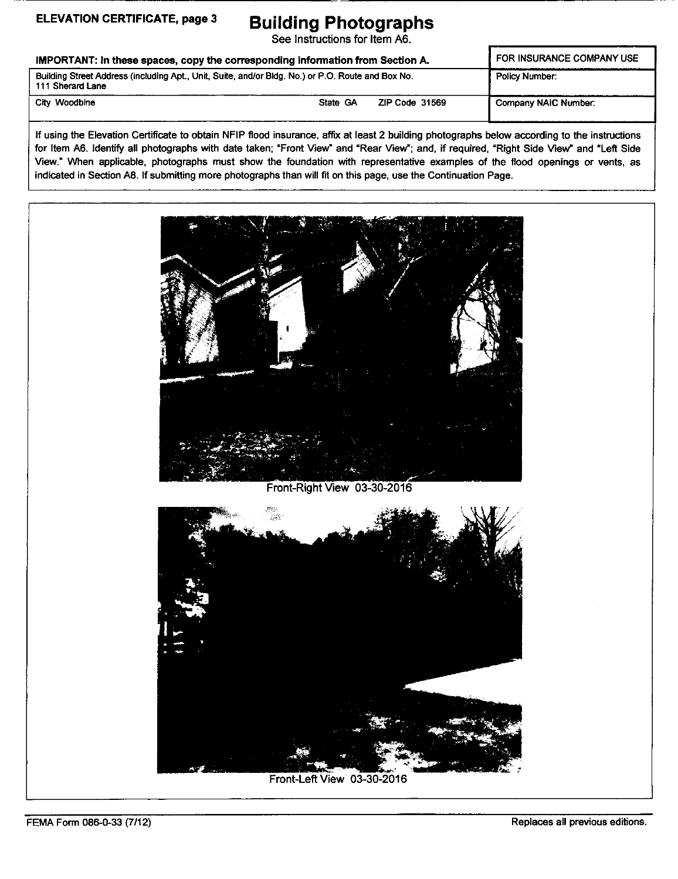**ELEVATION CERTIFICATE, page 3 Building Photographs** See Instructions for Item A6.

IMPORTANT: In these spaces, copy the corresponding information from Section A. FOR INSURANCE COMPANY USE Building Street Address (including Apt, Unit, Suite, and/or Bldg. No.) or P.O. Route and Box No. 111 Sherard Lane Policy Number: City Woodbine **State GA ZIP Code 31569** Company NAIC Number

If using the Elevation Certificate to obtain NFIP flood insurance, affix at least 2 building photographs below according to the instructions for Item A6. Identify all photographs with date taken; "Front View" and "Rear View"; and, if required, "Right Side View" and "Left Side View." When applicable, photographs must show the foundation with representative examples of the flood openings or vents, as indicated in Section A8. If submitting more photographs than will fit on this page, use the Continuation Page.